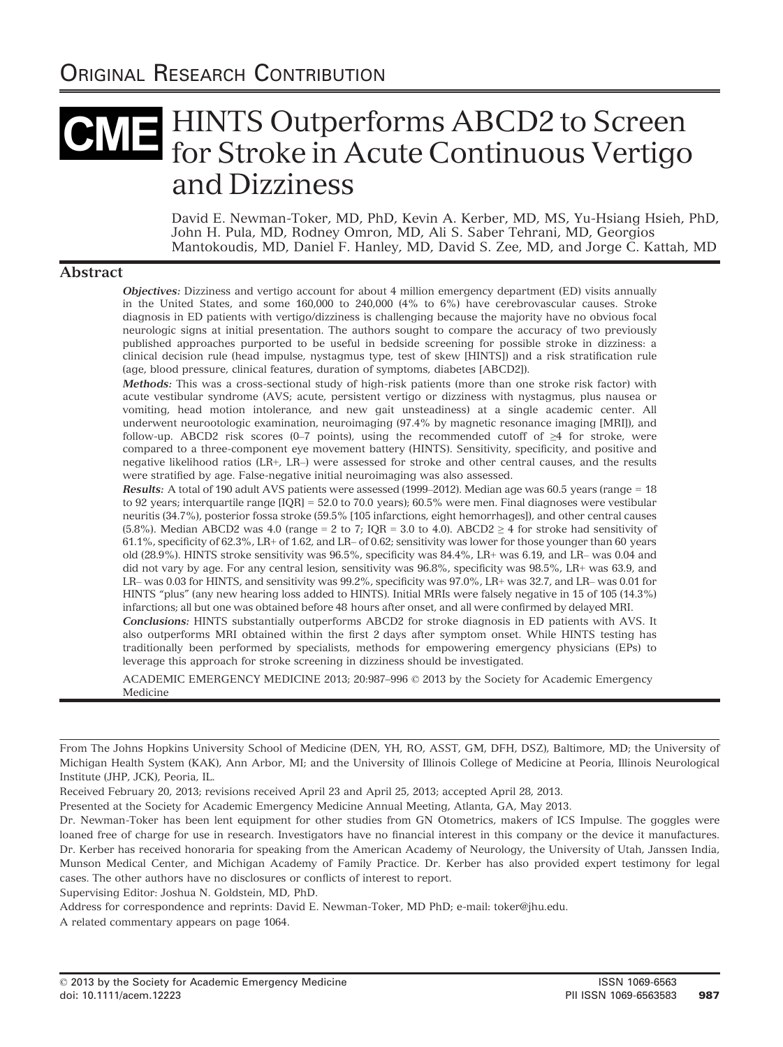# HINTS Outperforms ABCD2 to Screen for Stroke in Acute Continuous Vertigo and Dizziness

David E. Newman-Toker, MD, PhD, Kevin A. Kerber, MD, MS, Yu-Hsiang Hsieh, PhD, John H. Pula, MD, Rodney Omron, MD, Ali S. Saber Tehrani, MD, Georgios Mantokoudis, MD, Daniel F. Hanley, MD, David S. Zee, MD, and Jorge C. Kattah, MD

#### Abstract

Objectives: Dizziness and vertigo account for about 4 million emergency department (ED) visits annually in the United States, and some 160,000 to 240,000 (4% to 6%) have cerebrovascular causes. Stroke diagnosis in ED patients with vertigo/dizziness is challenging because the majority have no obvious focal neurologic signs at initial presentation. The authors sought to compare the accuracy of two previously published approaches purported to be useful in bedside screening for possible stroke in dizziness: a clinical decision rule (head impulse, nystagmus type, test of skew [HINTS]) and a risk stratification rule (age, blood pressure, clinical features, duration of symptoms, diabetes [ABCD2]).

Methods: This was a cross-sectional study of high-risk patients (more than one stroke risk factor) with acute vestibular syndrome (AVS; acute, persistent vertigo or dizziness with nystagmus, plus nausea or vomiting, head motion intolerance, and new gait unsteadiness) at a single academic center. All underwent neurootologic examination, neuroimaging (97.4% by magnetic resonance imaging [MRI]), and follow-up. ABCD2 risk scores (0–7 points), using the recommended cutoff of  $\geq 4$  for stroke, were compared to a three-component eye movement battery (HINTS). Sensitivity, specificity, and positive and negative likelihood ratios (LR+, LR–) were assessed for stroke and other central causes, and the results were stratified by age. False-negative initial neuroimaging was also assessed.

Results: A total of 190 adult AVS patients were assessed (1999–2012). Median age was 60.5 years (range = 18 to 92 years; interquartile range [IQR] = 52.0 to 70.0 years); 60.5% were men. Final diagnoses were vestibular neuritis (34.7%), posterior fossa stroke (59.5% [105 infarctions, eight hemorrhages]), and other central causes (5.8%). Median ABCD2 was 4.0 (range = 2 to 7; IQR = 3.0 to 4.0). ABCD2  $\geq$  4 for stroke had sensitivity of 61.1%, specificity of 62.3%, LR+ of 1.62, and LR– of 0.62; sensitivity was lower for those younger than 60 years old (28.9%). HINTS stroke sensitivity was 96.5%, specificity was 84.4%, LR+ was 6.19, and LR– was 0.04 and did not vary by age. For any central lesion, sensitivity was 96.8%, specificity was 98.5%, LR+ was 63.9, and LR– was 0.03 for HINTS, and sensitivity was 99.2%, specificity was 97.0%, LR+ was 32.7, and LR– was 0.01 for HINTS "plus" (any new hearing loss added to HINTS). Initial MRIs were falsely negative in 15 of 105 (14.3%) infarctions; all but one was obtained before 48 hours after onset, and all were confirmed by delayed MRI.

Conclusions: HINTS substantially outperforms ABCD2 for stroke diagnosis in ED patients with AVS. It also outperforms MRI obtained within the first 2 days after symptom onset. While HINTS testing has traditionally been performed by specialists, methods for empowering emergency physicians (EPs) to leverage this approach for stroke screening in dizziness should be investigated.

ACADEMIC EMERGENCY MEDICINE 2013; 20:987–996 © 2013 by the Society for Academic Emergency Medicine

From The Johns Hopkins University School of Medicine (DEN, YH, RO, ASST, GM, DFH, DSZ), Baltimore, MD; the University of Michigan Health System (KAK), Ann Arbor, MI; and the University of Illinois College of Medicine at Peoria, Illinois Neurological Institute (JHP, JCK), Peoria, IL.

Presented at the Society for Academic Emergency Medicine Annual Meeting, Atlanta, GA, May 2013.

Supervising Editor: Joshua N. Goldstein, MD, PhD.

Address for correspondence and reprints: David E. Newman-Toker, MD PhD; e-mail: toker@jhu.edu.

A related commentary appears on page 1064.

Received February 20, 2013; revisions received April 23 and April 25, 2013; accepted April 28, 2013.

Dr. Newman-Toker has been lent equipment for other studies from GN Otometrics, makers of ICS Impulse. The goggles were loaned free of charge for use in research. Investigators have no financial interest in this company or the device it manufactures. Dr. Kerber has received honoraria for speaking from the American Academy of Neurology, the University of Utah, Janssen India, Munson Medical Center, and Michigan Academy of Family Practice. Dr. Kerber has also provided expert testimony for legal cases. The other authors have no disclosures or conflicts of interest to report.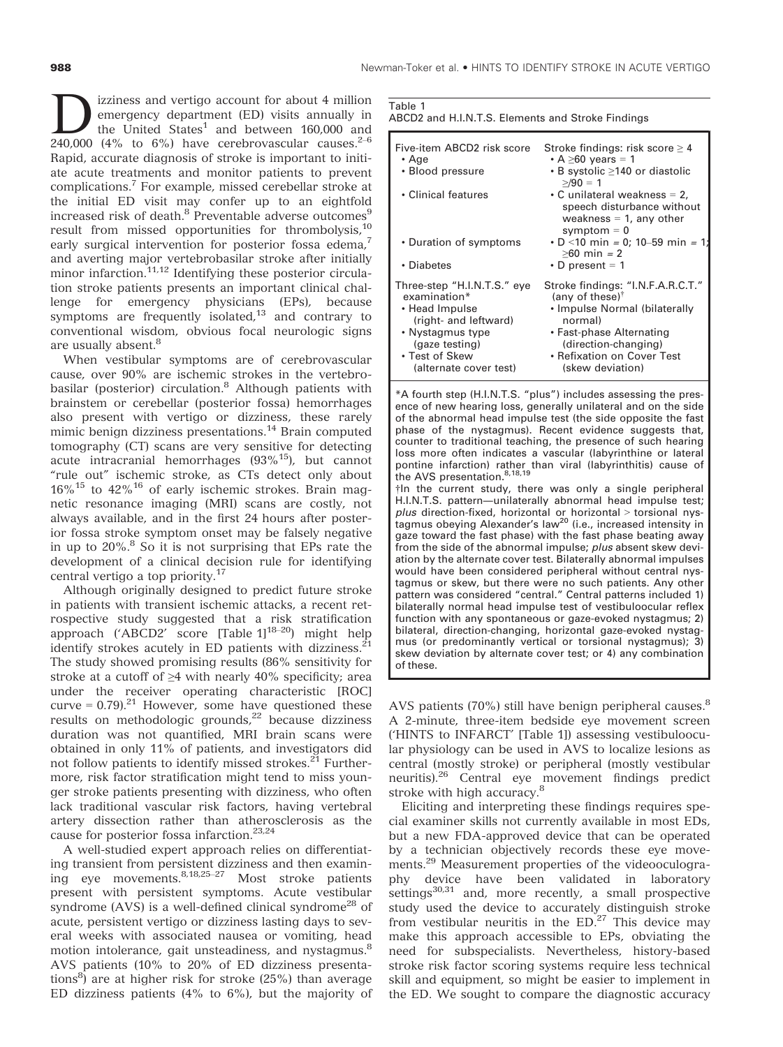Table 1 External vertigo account for about 4 million<br>the United States<sup>1</sup> and between 160,000 and<br>240,000 (4% to 6%) have cerebrowascular causes <sup>2-6</sup> emergency department (ED) visits annually in 240,000 (4% to 6%) have cerebrovascular causes.<sup>2–6</sup> Rapid, accurate diagnosis of stroke is important to initiate acute treatments and monitor patients to prevent complications.<sup>7</sup> For example, missed cerebellar stroke at the initial ED visit may confer up to an eightfold increased risk of death.<sup>8</sup> Preventable adverse outcomes<sup>9</sup> result from missed opportunities for thrombolysis.<sup>10</sup> early surgical intervention for posterior fossa edema, $^7$ 

and averting major vertebrobasilar stroke after initially minor infarction.<sup>11,12</sup> Identifying these posterior circulation stroke patients presents an important clinical challenge for emergency physicians (EPs), because symptoms are frequently isolated, $13$  and contrary to conventional wisdom, obvious focal neurologic signs are usually absent.<sup>8</sup>

When vestibular symptoms are of cerebrovascular cause, over 90% are ischemic strokes in the vertebrobasilar (posterior) circulation.<sup>8</sup> Although patients with brainstem or cerebellar (posterior fossa) hemorrhages also present with vertigo or dizziness, these rarely mimic benign dizziness presentations.<sup>14</sup> Brain computed tomography (CT) scans are very sensitive for detecting acute intracranial hemorrhages (93%15), but cannot "rule out" ischemic stroke, as CTs detect only about  $16\%$ <sup>15</sup> to  $42\%$ <sup>16</sup> of early ischemic strokes. Brain magnetic resonance imaging (MRI) scans are costly, not always available, and in the first 24 hours after posterior fossa stroke symptom onset may be falsely negative in up to 20%.8 So it is not surprising that EPs rate the development of a clinical decision rule for identifying central vertigo a top priority.<sup>17</sup>

Although originally designed to predict future stroke in patients with transient ischemic attacks, a recent retrospective study suggested that a risk stratification approach ('ABCD2' score [Table  $1$ ]<sup>18–20</sup>) might help identify strokes acutely in ED patients with dizziness.<sup>21</sup> The study showed promising results (86% sensitivity for stroke at a cutoff of  $\geq 4$  with nearly 40% specificity; area under the receiver operating characteristic [ROC] curve =  $0.79$ ).<sup>21</sup> However, some have questioned these results on methodologic grounds,<sup>22</sup> because dizziness duration was not quantified, MRI brain scans were obtained in only 11% of patients, and investigators did not follow patients to identify missed strokes.<sup>21</sup> Furthermore, risk factor stratification might tend to miss younger stroke patients presenting with dizziness, who often lack traditional vascular risk factors, having vertebral artery dissection rather than atherosclerosis as the cause for posterior fossa infarction.<sup>23,24</sup>

A well-studied expert approach relies on differentiating transient from persistent dizziness and then examining eye movements.8,18,25–<sup>27</sup> Most stroke patients present with persistent symptoms. Acute vestibular syndrome (AVS) is a well-defined clinical syndrome<sup>28</sup> of acute, persistent vertigo or dizziness lasting days to several weeks with associated nausea or vomiting, head motion intolerance, gait unsteadiness, and nystagmus.<sup>8</sup> AVS patients (10% to 20% of ED dizziness presentations $\overline{8}$ ) are at higher risk for stroke (25%) than average ED dizziness patients (4% to 6%), but the majority of

| Table 1                                           |  |  |
|---------------------------------------------------|--|--|
| ABCD2 and H.I.N.T.S. Elements and Stroke Findings |  |  |

| Five-item ABCD2 risk score<br>• Age<br>• Blood pressure                                                                                                                  | Stroke findings: risk score $\geq 4$<br>• A $\geq 60$ years = 1<br>• B systolic ≥140 or diastolic<br>$>1/90 = 1$                                                                                                |
|--------------------------------------------------------------------------------------------------------------------------------------------------------------------------|-----------------------------------------------------------------------------------------------------------------------------------------------------------------------------------------------------------------|
| • Clinical features                                                                                                                                                      | • C unilateral weakness $= 2$ ,<br>speech disturbance without<br>weakness $= 1$ , any other<br>symptom $= 0$                                                                                                    |
| • Duration of symptoms                                                                                                                                                   | • D < 10 min = 0; 10 - 59 min = 1;<br>$>60$ min = 2                                                                                                                                                             |
| • Diabetes                                                                                                                                                               | • D present = $1$                                                                                                                                                                                               |
| Three-step "H.I.N.T.S." eye<br>examination*<br>• Head Impulse<br>(right- and leftward)<br>• Nystagmus type<br>(gaze testing)<br>• Test of Skew<br>(alternate cover test) | Stroke findings: "I.N.F.A.R.C.T."<br>(any of these) $\dagger$<br>• Impulse Normal (bilaterally<br>normal)<br>• Fast-phase Alternating<br>(direction-changing)<br>• Refixation on Cover Test<br>(skew deviation) |

\*A fourth step (H.I.N.T.S. "plus") includes assessing the presence of new hearing loss, generally unilateral and on the side of the abnormal head impulse test (the side opposite the fast phase of the nystagmus). Recent evidence suggests that, counter to traditional teaching, the presence of such hearing loss more often indicates a vascular (labyrinthine or lateral pontine infarction) rather than viral (labyrinthitis) cause of the AVS presentation.<sup>8,18,19</sup>

†In the current study, there was only a single peripheral H.I.N.T.S. pattern―unilaterally abnormal head impulse test; *plus* direction-fixed, horizontal or horizontal > torsional nys-<br>tagmus obeying Alexander's law<sup>20</sup> (i.e., increased intensity in gaze toward the fast phase) with the fast phase beating away from the side of the abnormal impulse; plus absent skew deviation by the alternate cover test. Bilaterally abnormal impulses would have been considered peripheral without central nystagmus or skew, but there were no such patients. Any other pattern was considered "central." Central patterns included 1) bilaterally normal head impulse test of vestibuloocular reflex function with any spontaneous or gaze-evoked nystagmus; 2) bilateral, direction-changing, horizontal gaze-evoked nystagmus (or predominantly vertical or torsional nystagmus); 3) skew deviation by alternate cover test; or 4) any combination of these.

AVS patients (70%) still have benign peripheral causes.<sup>8</sup> A 2-minute, three-item bedside eye movement screen ('HINTS to INFARCT' [Table 1]) assessing vestibuloocular physiology can be used in AVS to localize lesions as central (mostly stroke) or peripheral (mostly vestibular neuritis).<sup>26</sup> Central eye movement findings predict stroke with high accuracy.<sup>8</sup>

Eliciting and interpreting these findings requires special examiner skills not currently available in most EDs, but a new FDA-approved device that can be operated by a technician objectively records these eye movements.29 Measurement properties of the videooculography device have been validated in laboratory settings<sup>30,31</sup> and, more recently, a small prospective study used the device to accurately distinguish stroke from vestibular neuritis in the  $ED.^{27}$  This device may make this approach accessible to EPs, obviating the need for subspecialists. Nevertheless, history-based stroke risk factor scoring systems require less technical skill and equipment, so might be easier to implement in the ED. We sought to compare the diagnostic accuracy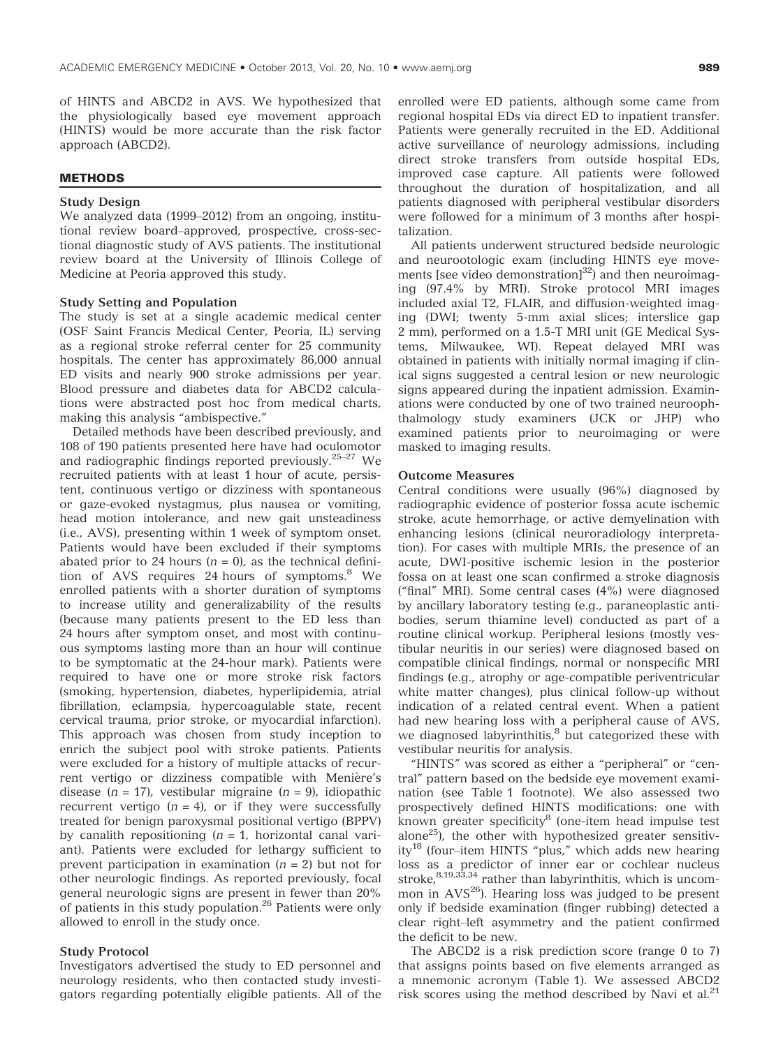989

of HINTS and ABCD2 in AVS. We hypothesized that the physiologically based eye movement approach (HINTS) would be more accurate than the risk factor approach (ABCD2).

# METHODS In the second control of the second control of the second control of the second control of the second

#### Study Design

We analyzed data (1999–2012) from an ongoing, institutional review board–approved, prospective, cross-sectional diagnostic study of AVS patients. The institutional review board at the University of Illinois College of Medicine at Peoria approved this study.

#### Study Setting and Population

The study is set at a single academic medical center (OSF Saint Francis Medical Center, Peoria, IL) serving as a regional stroke referral center for 25 community hospitals. The center has approximately 86,000 annual ED visits and nearly 900 stroke admissions per year. Blood pressure and diabetes data for ABCD2 calculations were abstracted post hoc from medical charts, making this analysis "ambispective."

Detailed methods have been described previously, and 108 of 190 patients presented here have had oculomotor and radiographic findings reported previously. $25-27$  We recruited patients with at least 1 hour of acute, persistent, continuous vertigo or dizziness with spontaneous or gaze-evoked nystagmus, plus nausea or vomiting, head motion intolerance, and new gait unsteadiness (i.e., AVS), presenting within 1 week of symptom onset. Patients would have been excluded if their symptoms abated prior to 24 hours  $(n = 0)$ , as the technical definition of AVS requires 24 hours of symptoms.<sup>8</sup> We enrolled patients with a shorter duration of symptoms to increase utility and generalizability of the results (because many patients present to the ED less than 24 hours after symptom onset, and most with continuous symptoms lasting more than an hour will continue to be symptomatic at the 24-hour mark). Patients were required to have one or more stroke risk factors (smoking, hypertension, diabetes, hyperlipidemia, atrial fibrillation, eclampsia, hypercoagulable state, recent cervical trauma, prior stroke, or myocardial infarction). This approach was chosen from study inception to enrich the subject pool with stroke patients. Patients were excluded for a history of multiple attacks of recurrent vertigo or dizziness compatible with Menière's disease ( $n = 17$ ), vestibular migraine ( $n = 9$ ), idiopathic recurrent vertigo  $(n = 4)$ , or if they were successfully treated for benign paroxysmal positional vertigo (BPPV) by canalith repositioning  $(n = 1)$ , horizontal canal variant). Patients were excluded for lethargy sufficient to prevent participation in examination  $(n = 2)$  but not for other neurologic findings. As reported previously, focal general neurologic signs are present in fewer than 20% of patients in this study population.<sup>26</sup> Patients were only allowed to enroll in the study once.

#### Study Protocol

Investigators advertised the study to ED personnel and neurology residents, who then contacted study investigators regarding potentially eligible patients. All of the enrolled were ED patients, although some came from regional hospital EDs via direct ED to inpatient transfer. Patients were generally recruited in the ED. Additional active surveillance of neurology admissions, including direct stroke transfers from outside hospital EDs, improved case capture. All patients were followed throughout the duration of hospitalization, and all patients diagnosed with peripheral vestibular disorders were followed for a minimum of 3 months after hospitalization.

All patients underwent structured bedside neurologic and neurootologic exam (including HINTS eye movements [see video demonstration]<sup>32</sup>) and then neuroimaging (97.4% by MRI). Stroke protocol MRI images included axial T2, FLAIR, and diffusion-weighted imaging (DWI; twenty 5-mm axial slices; interslice gap 2 mm), performed on a 1.5-T MRI unit (GE Medical Systems, Milwaukee, WI). Repeat delayed MRI was obtained in patients with initially normal imaging if clinical signs suggested a central lesion or new neurologic signs appeared during the inpatient admission. Examinations were conducted by one of two trained neuroophthalmology study examiners (JCK or JHP) who examined patients prior to neuroimaging or were masked to imaging results.

#### Outcome Measures

Central conditions were usually (96%) diagnosed by radiographic evidence of posterior fossa acute ischemic stroke, acute hemorrhage, or active demyelination with enhancing lesions (clinical neuroradiology interpretation). For cases with multiple MRIs, the presence of an acute, DWI-positive ischemic lesion in the posterior fossa on at least one scan confirmed a stroke diagnosis ("final" MRI). Some central cases (4%) were diagnosed by ancillary laboratory testing (e.g., paraneoplastic antibodies, serum thiamine level) conducted as part of a routine clinical workup. Peripheral lesions (mostly vestibular neuritis in our series) were diagnosed based on compatible clinical findings, normal or nonspecific MRI findings (e.g., atrophy or age-compatible periventricular white matter changes), plus clinical follow-up without indication of a related central event. When a patient had new hearing loss with a peripheral cause of AVS, we diagnosed labyrinthitis,<sup>8</sup> but categorized these with vestibular neuritis for analysis.

"HINTS" was scored as either a "peripheral" or "central" pattern based on the bedside eye movement examination (see Table 1 footnote). We also assessed two prospectively defined HINTS modifications: one with known greater specificity<sup>8</sup> (one-item head impulse test alone $^{25}$ ), the other with hypothesized greater sensitivity<sup>18</sup> (four–item HINTS "plus," which adds new hearing loss as a predictor of inner ear or cochlear nucleus stroke, $8,19,33,34$  rather than labyrinthitis, which is uncommon in  $AVS^{26}$ ). Hearing loss was judged to be present only if bedside examination (finger rubbing) detected a clear right–left asymmetry and the patient confirmed the deficit to be new.

The ABCD2 is a risk prediction score (range 0 to 7) that assigns points based on five elements arranged as a mnemonic acronym (Table 1). We assessed ABCD2 risk scores using the method described by Navi et al. $21$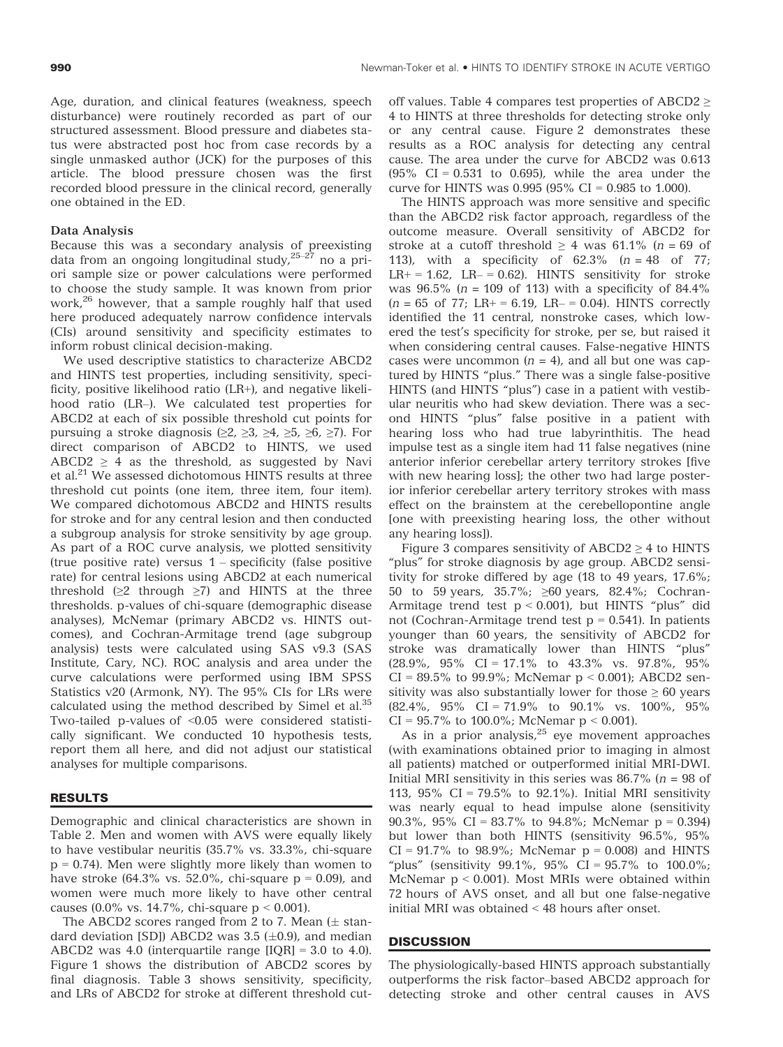Age, duration, and clinical features (weakness, speech disturbance) were routinely recorded as part of our structured assessment. Blood pressure and diabetes status were abstracted post hoc from case records by a single unmasked author (JCK) for the purposes of this article. The blood pressure chosen was the first recorded blood pressure in the clinical record, generally one obtained in the ED.

#### Data Analysis

Because this was a secondary analysis of preexisting data from an ongoing longitudinal study,25–<sup>27</sup> no a priori sample size or power calculations were performed to choose the study sample. It was known from prior work,<sup>26</sup> however, that a sample roughly half that used here produced adequately narrow confidence intervals (CIs) around sensitivity and specificity estimates to inform robust clinical decision-making.

We used descriptive statistics to characterize ABCD2 and HINTS test properties, including sensitivity, specificity, positive likelihood ratio (LR+), and negative likelihood ratio (LR–). We calculated test properties for ABCD2 at each of six possible threshold cut points for pursuing a stroke diagnosis ( $\geq 2$ ,  $\geq 3$ ,  $\geq 4$ ,  $\geq 5$ ,  $\geq 6$ ,  $\geq 7$ ). For direct comparison of ABCD2 to HINTS, we used ABCD2  $\geq$  4 as the threshold, as suggested by Navi et al.<sup>21</sup> We assessed dichotomous HINTS results at three threshold cut points (one item, three item, four item). We compared dichotomous ABCD2 and HINTS results for stroke and for any central lesion and then conducted a subgroup analysis for stroke sensitivity by age group. As part of a ROC curve analysis, we plotted sensitivity (true positive rate) versus 1 – specificity (false positive rate) for central lesions using ABCD2 at each numerical threshold  $(≥2$  through  $≥7)$  and HINTS at the three thresholds. p-values of chi-square (demographic disease analyses), McNemar (primary ABCD2 vs. HINTS outcomes), and Cochran-Armitage trend (age subgroup analysis) tests were calculated using SAS v9.3 (SAS Institute, Cary, NC). ROC analysis and area under the curve calculations were performed using IBM SPSS Statistics v20 (Armonk, NY). The 95% CIs for LRs were calculated using the method described by Simel et al.<sup>35</sup> Two-tailed p-values of <0.05 were considered statistically significant. We conducted 10 hypothesis tests, report them all here, and did not adjust our statistical analyses for multiple comparisons.

#### RESULTS

Demographic and clinical characteristics are shown in Table 2. Men and women with AVS were equally likely to have vestibular neuritis (35.7% vs. 33.3%, chi-square  $p = 0.74$ ). Men were slightly more likely than women to have stroke  $(64.3\% \text{ vs. } 52.0\%$ , chi-square  $p = 0.09$ ), and women were much more likely to have other central causes (0.0% vs. 14.7%, chi-square  $p < 0.001$ ).

The ABCD2 scores ranged from 2 to 7. Mean  $(\pm \text{ stan}$ dard deviation [SD]) ABCD2 was 3.5 ( $\pm$ 0.9), and median ABCD2 was 4.0 (interquartile range  $[IQR] = 3.0$  to 4.0). Figure 1 shows the distribution of ABCD2 scores by final diagnosis. Table 3 shows sensitivity, specificity, and LRs of ABCD2 for stroke at different threshold cutoff values. Table 4 compares test properties of ABCD2 > 4 to HINTS at three thresholds for detecting stroke only or any central cause. Figure 2 demonstrates these results as a ROC analysis for detecting any central cause. The area under the curve for ABCD2 was 0.613  $(95\% \text{ CI} = 0.531 \text{ to } 0.695)$ , while the area under the curve for HINTS was 0.995 (95% CI = 0.985 to 1.000).

The HINTS approach was more sensitive and specific than the ABCD2 risk factor approach, regardless of the outcome measure. Overall sensitivity of ABCD2 for stroke at a cutoff threshold  $\geq$  4 was 61.1% (n = 69 of 113), with a specificity of  $62.3\%$  ( $n = 48$  of 77;  $LR+ = 1.62$ ,  $LR- = 0.62$ ). HINTS sensitivity for stroke was  $96.5\%$  (n = 109 of 113) with a specificity of 84.4%  $(n = 65 \text{ of } 77; \text{ LR} + 6.19, \text{ LR} - 0.04). \text{ HINTS correctly}$ identified the 11 central, nonstroke cases, which lowered the test's specificity for stroke, per se, but raised it when considering central causes. False-negative HINTS cases were uncommon  $(n = 4)$ , and all but one was captured by HINTS "plus." There was a single false-positive HINTS (and HINTS "plus") case in a patient with vestibular neuritis who had skew deviation. There was a second HINTS "plus" false positive in a patient with hearing loss who had true labyrinthitis. The head impulse test as a single item had 11 false negatives (nine anterior inferior cerebellar artery territory strokes [five with new hearing loss]; the other two had large posterior inferior cerebellar artery territory strokes with mass effect on the brainstem at the cerebellopontine angle [one with preexisting hearing loss, the other without any hearing loss]).

Figure 3 compares sensitivity of ABCD2  $\geq$  4 to HINTS "plus" for stroke diagnosis by age group. ABCD2 sensitivity for stroke differed by age (18 to 49 years, 17.6%; 50 to 59 years, 35.7%; ≥60 years, 82.4%; Cochran-Armitage trend test p < 0.001), but HINTS "plus" did not (Cochran-Armitage trend test  $p = 0.541$ ). In patients younger than 60 years, the sensitivity of ABCD2 for stroke was dramatically lower than HINTS "plus"  $(28.9\%), 95\% \text{ CI} = 17.1\% \text{ to } 43.3\% \text{ vs. } 97.8\%, 95\%$  $CI = 89.5\%$  to 99.9%; McNemar  $p < 0.001$ ); ABCD2 sensitivity was also substantially lower for those  $\geq 60$  years  $(82.4\%, 95\% \text{ CI} = 71.9\% \text{ to } 90.1\% \text{ vs. } 100\%, 95\%$  $CI = 95.7\%$  to 100.0%; McNemar  $p \le 0.001$ ).

As in a prior analysis, $25$  eye movement approaches (with examinations obtained prior to imaging in almost all patients) matched or outperformed initial MRI-DWI. Initial MRI sensitivity in this series was  $86.7\%$  ( $n = 98$  of 113, 95% CI = 79.5% to 92.1%). Initial MRI sensitivity was nearly equal to head impulse alone (sensitivity 90.3%, 95% CI = 83.7% to 94.8%; McNemar p = 0.394) but lower than both HINTS (sensitivity 96.5%, 95%  $CI = 91.7\%$  to 98.9%; McNemar  $p = 0.008$ ) and HINTS "plus" (sensitivity 99.1%, 95% CI = 95.7% to 100.0%; McNemar p < 0.001). Most MRIs were obtained within 72 hours of AVS onset, and all but one false-negative initial MRI was obtained < 48 hours after onset.

## <u>\_\_\_\_\_\_\_\_</u>

The physiologically-based HINTS approach substantially outperforms the risk factor–based ABCD2 approach for detecting stroke and other central causes in AVS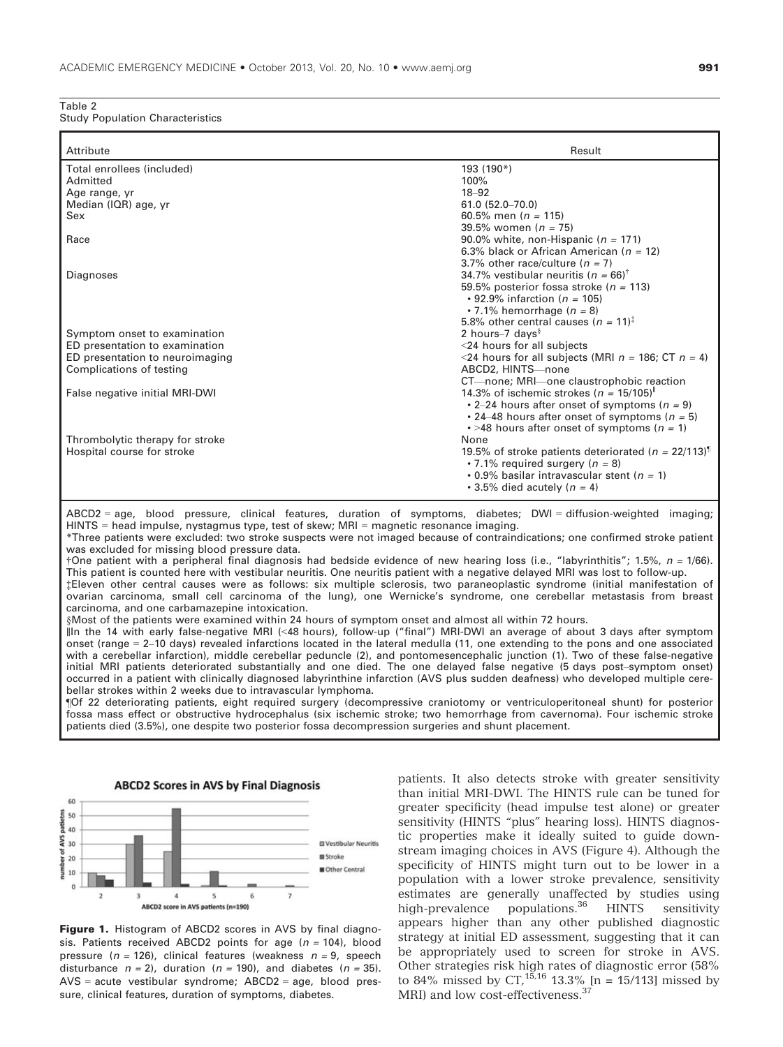Table 2 Study Population Characteristics

| Attribute                       | Result                                                              |
|---------------------------------|---------------------------------------------------------------------|
| Total enrollees (included)      | 193 (190*)                                                          |
| Admitted                        | 100%                                                                |
| Age range, yr                   | $18 - 92$                                                           |
| Median (IQR) age, yr            | $61.0(52.0 - 70.0)$                                                 |
| Sex                             | 60.5% men $(n = 115)$                                               |
|                                 | 39.5% women ( $n = 75$ )                                            |
| Race                            | 90.0% white, non-Hispanic ( $n = 171$ )                             |
|                                 | 6.3% black or African American ( $n = 12$ )                         |
|                                 | 3.7% other race/culture ( $n = 7$ )                                 |
| Diagnoses                       | 34.7% vestibular neuritis ( $n = 66$ ) <sup>†</sup>                 |
|                                 | 59.5% posterior fossa stroke ( $n = 113$ )                          |
|                                 | • 92.9% infarction ( $n = 105$ )                                    |
|                                 | • 7.1% hemorrhage $(n = 8)$                                         |
|                                 | 5.8% other central causes ( $n = 11$ ) <sup>T</sup>                 |
| Symptom onset to examination    | 2 hours–7 days $\frac{8}{3}$                                        |
| ED presentation to examination  | <24 hours for all subjects                                          |
| ED presentation to neuroimaging | <24 hours for all subjects (MRI $n = 186$ ; CT $n = 4$ )            |
| Complications of testing        | ABCD2, HINTS-none                                                   |
|                                 | CT-none; MRI-one claustrophobic reaction                            |
| False negative initial MRI-DWI  | 14.3% of ischemic strokes ( $n = 15/105$ )                          |
|                                 | • 2–24 hours after onset of symptoms ( $n = 9$ )                    |
|                                 | • 24–48 hours after onset of symptoms ( $n = 5$ )                   |
|                                 | • >48 hours after onset of symptoms ( $n = 1$ )                     |
| Thrombolytic therapy for stroke | None                                                                |
| Hospital course for stroke      | 19.5% of stroke patients deteriorated ( $n = 22/113$ ) <sup>1</sup> |
|                                 | • 7.1% required surgery $(n = 8)$                                   |
|                                 | $\cdot$ 0.9% basilar intravascular stent ( $n = 1$ )                |
|                                 | • 3.5% died acutely ( $n = 4$ )                                     |
|                                 |                                                                     |

ABCD2 = age, blood pressure, clinical features, duration of symptoms, diabetes; DWI = diffusion-weighted imaging; HINTS = head impulse, nystagmus type, test of skew; MRI = magnetic resonance imaging.

\*Three patients were excluded: two stroke suspects were not imaged because of contraindications; one confirmed stroke patient was excluded for missing blood pressure data.

 $\dagger$ One patient with a peripheral final diagnosis had bedside evidence of new hearing loss (i.e., "labyrinthitis"; 1.5%,  $n = 1/66$ ). This patient is counted here with vestibular neuritis. One neuritis patient with a negative delayed MRI was lost to follow-up.

‡Eleven other central causes were as follows: six multiple sclerosis, two paraneoplastic syndrome (initial manifestation of ovarian carcinoma, small cell carcinoma of the lung), one Wernicke's syndrome, one cerebellar metastasis from breast carcinoma, and one carbamazepine intoxication.

§Most of the patients were examined within 24 hours of symptom onset and almost all within 72 hours.

‖In the 14 with early false-negative MRI (<48 hours), follow-up ("final") MRI-DWI an average of about 3 days after symptom onset (range = 2–10 days) revealed infarctions located in the lateral medulla (11, one extending to the pons and one associated with a cerebellar infarction), middle cerebellar peduncle (2), and pontomesencephalic junction (1). Two of these false-negative initial MRI patients deteriorated substantially and one died. The one delayed false negative (5 days post–symptom onset) occurred in a patient with clinically diagnosed labyrinthine infarction (AVS plus sudden deafness) who developed multiple cerebellar strokes within 2 weeks due to intravascular lymphoma.

¶Of 22 deteriorating patients, eight required surgery (decompressive craniotomy or ventriculoperitoneal shunt) for posterior fossa mass effect or obstructive hydrocephalus (six ischemic stroke; two hemorrhage from cavernoma). Four ischemic stroke patients died (3.5%), one despite two posterior fossa decompression surgeries and shunt placement.



Figure 1. Histogram of ABCD2 scores in AVS by final diagnosis. Patients received ABCD2 points for age  $(n = 104)$ , blood pressure ( $n = 126$ ), clinical features (weakness  $n = 9$ , speech disturbance  $n = 2$ , duration ( $n = 190$ ), and diabetes ( $n = 35$ ).  $AVS = acute$  vestibular syndrome;  $ABCD2 = age$ , blood pressure, clinical features, duration of symptoms, diabetes.

patients. It also detects stroke with greater sensitivity than initial MRI-DWI. The HINTS rule can be tuned for greater specificity (head impulse test alone) or greater sensitivity (HINTS "plus" hearing loss). HINTS diagnostic properties make it ideally suited to guide downstream imaging choices in AVS (Figure 4). Although the specificity of HINTS might turn out to be lower in a population with a lower stroke prevalence, sensitivity estimates are generally unaffected by studies using high-prevalence populations.<sup>36</sup> HINTS sensitivity appears higher than any other published diagnostic strategy at initial ED assessment, suggesting that it can be appropriately used to screen for stroke in AVS. Other strategies risk high rates of diagnostic error (58% to 84% missed by CT,<sup>15,16</sup> 13.3% [n = 15/113] missed by MRI) and low cost-effectiveness.<sup>37</sup>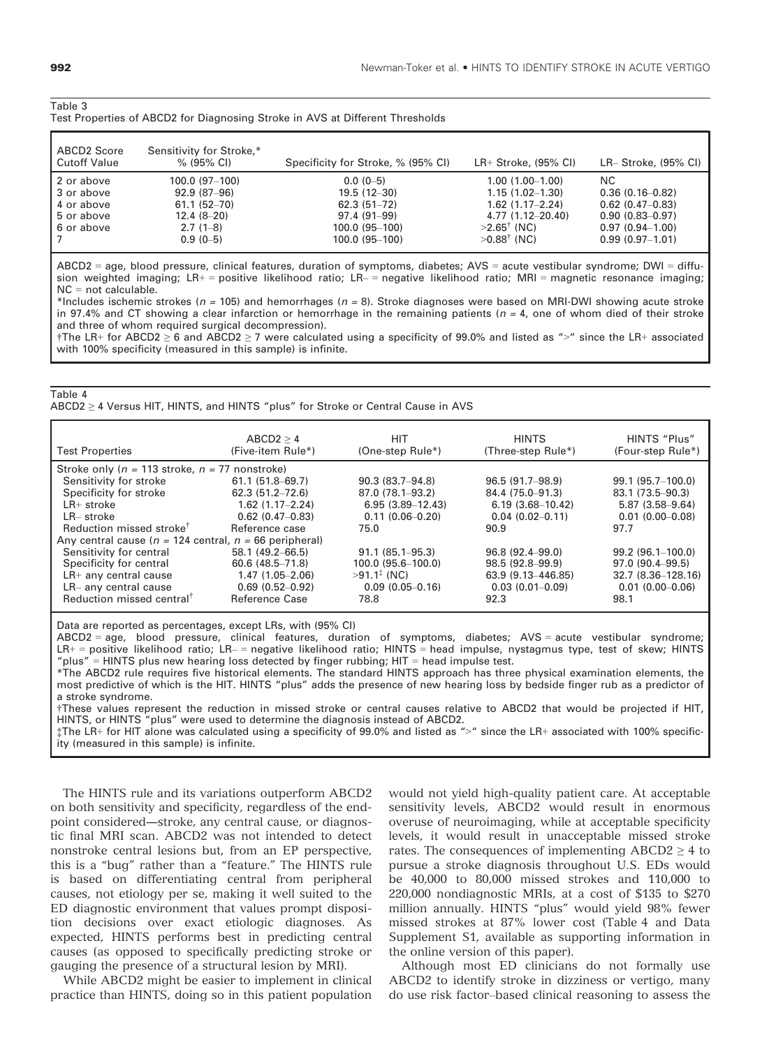| Table 3                                                                       |  |  |  |
|-------------------------------------------------------------------------------|--|--|--|
| Test Properties of ABCD2 for Diagnosing Stroke in AVS at Different Thresholds |  |  |  |

| ABCD2 Score<br><b>Cutoff Value</b> | Sensitivity for Stroke,*<br>% (95% CI) | Specificity for Stroke, % (95% CI) | $LR+$ Stroke, (95% CI)    | LR-Stroke, $(95\%$ CI) |
|------------------------------------|----------------------------------------|------------------------------------|---------------------------|------------------------|
| 2 or above                         | $100.0(97-100)$                        | $0.0(0-5)$                         | $1.00(1.00-1.00)$         | NC.                    |
| 3 or above                         | $92.9(87 - 96)$                        | $19.5(12-30)$                      | $1.15(1.02 - 1.30)$       | $0.36(0.16-0.82)$      |
| 4 or above                         | $61.1(52 - 70)$                        | $62.3(51 - 72)$                    | $1.62(1.17-2.24)$         | $0.62(0.47-0.83)$      |
| 5 or above                         | $12.4(8-20)$                           | $97.4(91-99)$                      | $4.77(1.12 - 20.40)$      | $0.90(0.83 - 0.97)$    |
| 6 or above                         | $2.7(1-8)$                             | $100.0(95 - 100)$                  | $>2.65$ <sup>†</sup> (NC) | $0.97(0.94 - 1.00)$    |
|                                    | $0.9(0-5)$                             | $100.0(95-100)$                    | $>0.88$ <sup>†</sup> (NC) | $0.99(0.97-1.01)$      |

ABCD2 = age, blood pressure, clinical features, duration of symptoms, diabetes; AVS = acute vestibular syndrome; DWI = diffusion weighted imaging;  $LR+$  = positive likelihood ratio;  $LR-$  = negative likelihood ratio; MRI = magnetic resonance imaging;  $NC = not$  calculable.

\*Includes ischemic strokes ( $n = 105$ ) and hemorrhages ( $n = 8$ ). Stroke diagnoses were based on MRI-DWI showing acute stroke in 97.4% and CT showing a clear infarction or hemorrhage in the remaining patients ( $n = 4$ , one of whom died of their stroke and three of whom required surgical decompression).

†The LR+ for ABCD2 ≥ 6 and ABCD2 ≥ 7 were calculated using a specificity of 99.0% and listed as ">" since the LR+ associated with 100% specificity (measured in this sample) is infinite.

#### Table 4

ABCD2 ≥ 4 Versus HIT, HINTS, and HINTS "plus" for Stroke or Central Cause in AVS

| <b>Test Properties</b>                                      | ABCD2 > 4<br>(Five-item Rule*) | HIT.<br>(One-step Rule*)   | <b>HINTS</b><br>(Three-step Rule*) | HINTS "Plus"<br>(Four-step Rule*) |  |  |  |
|-------------------------------------------------------------|--------------------------------|----------------------------|------------------------------------|-----------------------------------|--|--|--|
| Stroke only ( $n = 113$ stroke, $n = 77$ nonstroke)         |                                |                            |                                    |                                   |  |  |  |
| Sensitivity for stroke                                      | $61.1(51.8 - 69.7)$            | $90.3(83.7 - 94.8)$        | $96.5(91.7-98.9)$                  | $99.1(95.7-100.0)$                |  |  |  |
| Specificity for stroke                                      | $62.3(51.2 - 72.6)$            | 87.0 (78.1-93.2)           | 84.4 (75.0-91.3)                   | $83.1(73.5 - 90.3)$               |  |  |  |
| $LR+$ stroke                                                | $1.62$ $(1.17 - 2.24)$         | $6.95(3.89 - 12.43)$       | $6.19(3.68 - 10.42)$               | $5.87(3.58 - 9.64)$               |  |  |  |
| $LR$ -stroke                                                | $0.62(0.47-0.83)$              | $0.11(0.06 - 0.20)$        | $0.04(0.02-0.11)$                  | $0.01(0.00 - 0.08)$               |  |  |  |
| Reduction missed stroke <sup>†</sup>                        | Reference case                 | 75.0                       | 90.9                               | 97.7                              |  |  |  |
| Any central cause ( $n = 124$ central, $n = 66$ peripheral) |                                |                            |                                    |                                   |  |  |  |
| Sensitivity for central                                     | $58.1(49.2 - 66.5)$            | $91.1(85.1 - 95.3)$        | $96.8(92.4 - 99.0)$                | $99.2(96.1-100.0)$                |  |  |  |
| Specificity for central                                     | $60.6(48.5 - 71.8)$            | $100.0$ (95.6-100.0)       | $98.5(92.8 - 99.9)$                | $97.0(90.4 - 99.5)$               |  |  |  |
| $LR+$ any central cause                                     | $1.47(1.05 - 2.06)$            | $>91.1^{\frac{1}{2}}$ (NC) | $63.9(9.13 - 446.85)$              | $32.7(8.36 - 128.16)$             |  |  |  |
| LR- any central cause                                       | $0.69(0.52 - 0.92)$            | $0.09(0.05 - 0.16)$        | $0.03(0.01-0.09)$                  | $0.01(0.00 - 0.06)$               |  |  |  |
| Reduction missed central <sup>†</sup>                       | Reference Case                 | 78.8                       | 92.3                               | 98.1                              |  |  |  |

Data are reported as percentages, except LRs, with (95% CI)

ABCD2 = age, blood pressure, clinical features, duration of symptoms, diabetes; AVS = acute vestibular syndrome; LR+ = positive likelihood ratio; LR- = negative likelihood ratio; HINTS = head impulse, nystagmus type, test of skew; HINTS "plus" = HINTS plus new hearing loss detected by finger rubbing;  $HIT = head$  impulse test.

\*The ABCD2 rule requires five historical elements. The standard HINTS approach has three physical examination elements, the most predictive of which is the HIT. HINTS "plus" adds the presence of new hearing loss by bedside finger rub as a predictor of a stroke syndrome.

†These values represent the reduction in missed stroke or central causes relative to ABCD2 that would be projected if HIT, HINTS, or HINTS "plus" were used to determine the diagnosis instead of ABCD2.

‡The LR+ for HIT alone was calculated using a specificity of 99.0% and listed as ">" since the LR+ associated with 100% specificity (measured in this sample) is infinite.

The HINTS rule and its variations outperform ABCD2 on both sensitivity and specificity, regardless of the endpoint considered―stroke, any central cause, or diagnostic final MRI scan. ABCD2 was not intended to detect nonstroke central lesions but, from an EP perspective, this is a "bug" rather than a "feature." The HINTS rule is based on differentiating central from peripheral causes, not etiology per se, making it well suited to the ED diagnostic environment that values prompt disposition decisions over exact etiologic diagnoses. As expected, HINTS performs best in predicting central causes (as opposed to specifically predicting stroke or gauging the presence of a structural lesion by MRI).

While ABCD2 might be easier to implement in clinical practice than HINTS, doing so in this patient population would not yield high-quality patient care. At acceptable sensitivity levels, ABCD2 would result in enormous overuse of neuroimaging, while at acceptable specificity levels, it would result in unacceptable missed stroke rates. The consequences of implementing  $ABCD2 \geq 4$  to pursue a stroke diagnosis throughout U.S. EDs would be 40,000 to 80,000 missed strokes and 110,000 to 220,000 nondiagnostic MRIs, at a cost of \$135 to \$270 million annually. HINTS "plus" would yield 98% fewer missed strokes at 87% lower cost (Table 4 and Data Supplement S1, available as supporting information in the online version of this paper).

Although most ED clinicians do not formally use ABCD2 to identify stroke in dizziness or vertigo, many do use risk factor–based clinical reasoning to assess the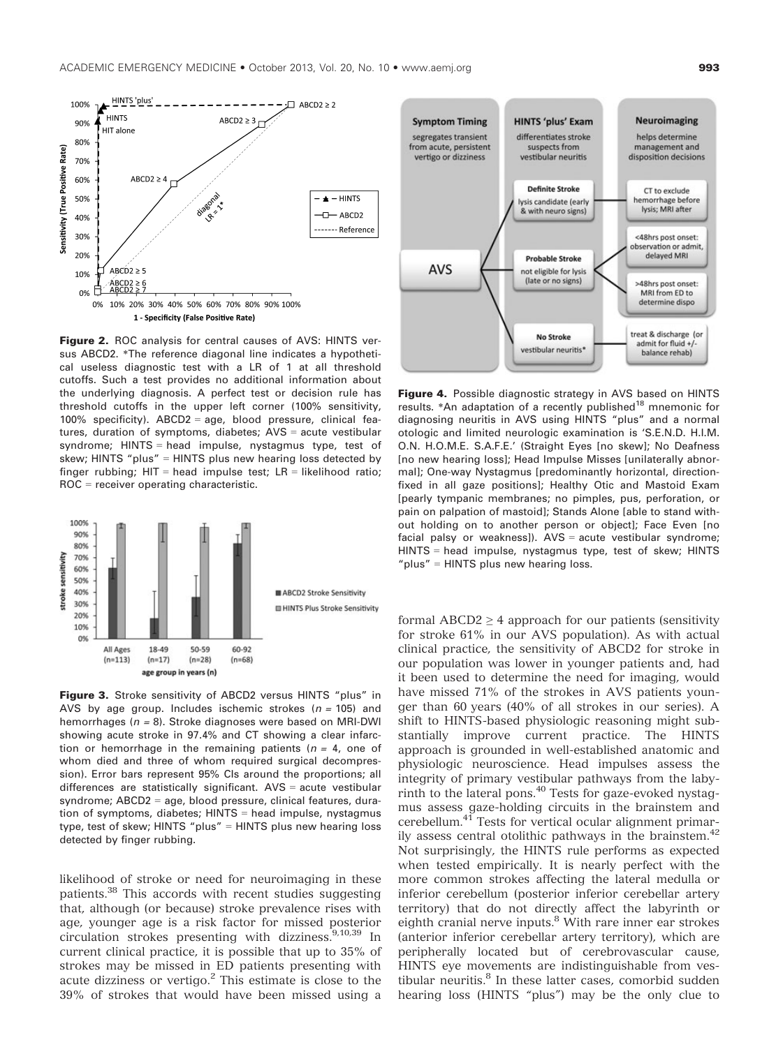

Figure 2. ROC analysis for central causes of AVS: HINTS versus ABCD2. \*The reference diagonal line indicates a hypothetical useless diagnostic test with a LR of 1 at all threshold cutoffs. Such a test provides no additional information about the underlying diagnosis. A perfect test or decision rule has threshold cutoffs in the upper left corner (100% sensitivity, 100% specificity). ABCD2 = age, blood pressure, clinical features, duration of symptoms, diabetes; AVS = acute vestibular syndrome; HINTS = head impulse, nystagmus type, test of skew; HINTS "plus" = HINTS plus new hearing loss detected by finger rubbing;  $HIT = head$  impulse test;  $LR = likelihood$  ratio; ROC = receiver operating characteristic.



Figure 3. Stroke sensitivity of ABCD2 versus HINTS "plus" in AVS by age group. Includes ischemic strokes  $(n = 105)$  and hemorrhages ( $n = 8$ ). Stroke diagnoses were based on MRI-DWI showing acute stroke in 97.4% and CT showing a clear infarction or hemorrhage in the remaining patients ( $n = 4$ , one of whom died and three of whom required surgical decompression). Error bars represent 95% CIs around the proportions; all differences are statistically significant. AVS = acute vestibular syndrome; ABCD2 = age, blood pressure, clinical features, duration of symptoms, diabetes; HINTS = head impulse, nystagmus type, test of skew; HINTS "plus" = HINTS plus new hearing loss detected by finger rubbing.

likelihood of stroke or need for neuroimaging in these patients.<sup>38</sup> This accords with recent studies suggesting that, although (or because) stroke prevalence rises with age, younger age is a risk factor for missed posterior circulation strokes presenting with dizziness.9,10,39 In current clinical practice, it is possible that up to 35% of strokes may be missed in ED patients presenting with acute dizziness or vertigo.<sup>2</sup> This estimate is close to the 39% of strokes that would have been missed using a



**Figure 4.** Possible diagnostic strategy in AVS based on HINTS<br>results. \*An adaptation of a recently published<sup>18</sup> mnemonic for diagnosing neuritis in AVS using HINTS "plus" and a normal otologic and limited neurologic examination is 'S.E.N.D. H.I.M. O.N. H.O.M.E. S.A.F.E.' (Straight Eyes [no skew]; No Deafness [no new hearing loss]; Head Impulse Misses [unilaterally abnormal]; One-way Nystagmus [predominantly horizontal, directionfixed in all gaze positions]; Healthy Otic and Mastoid Exam [pearly tympanic membranes; no pimples, pus, perforation, or pain on palpation of mastoid]; Stands Alone [able to stand without holding on to another person or object]; Face Even [no facial palsy or weaknessl). AVS = acute vestibular syndrome: HINTS = head impulse, nystagmus type, test of skew; HINTS "plus" = HINTS plus new hearing loss.

formal ABCD2  $\geq$  4 approach for our patients (sensitivity for stroke 61% in our AVS population). As with actual clinical practice, the sensitivity of ABCD2 for stroke in our population was lower in younger patients and, had it been used to determine the need for imaging, would have missed 71% of the strokes in AVS patients younger than 60 years (40% of all strokes in our series). A shift to HINTS-based physiologic reasoning might substantially improve current practice. The HINTS approach is grounded in well-established anatomic and physiologic neuroscience. Head impulses assess the integrity of primary vestibular pathways from the labyrinth to the lateral pons. $40$  Tests for gaze-evoked nystagmus assess gaze-holding circuits in the brainstem and cerebellum.<sup>41</sup> Tests for vertical ocular alignment primarily assess central otolithic pathways in the brainstem.<sup>42</sup> Not surprisingly, the HINTS rule performs as expected when tested empirically. It is nearly perfect with the more common strokes affecting the lateral medulla or inferior cerebellum (posterior inferior cerebellar artery territory) that do not directly affect the labyrinth or eighth cranial nerve inputs.<sup>8</sup> With rare inner ear strokes (anterior inferior cerebellar artery territory), which are peripherally located but of cerebrovascular cause, HINTS eye movements are indistinguishable from vestibular neuritis.<sup>8</sup> In these latter cases, comorbid sudden hearing loss (HINTS "plus") may be the only clue to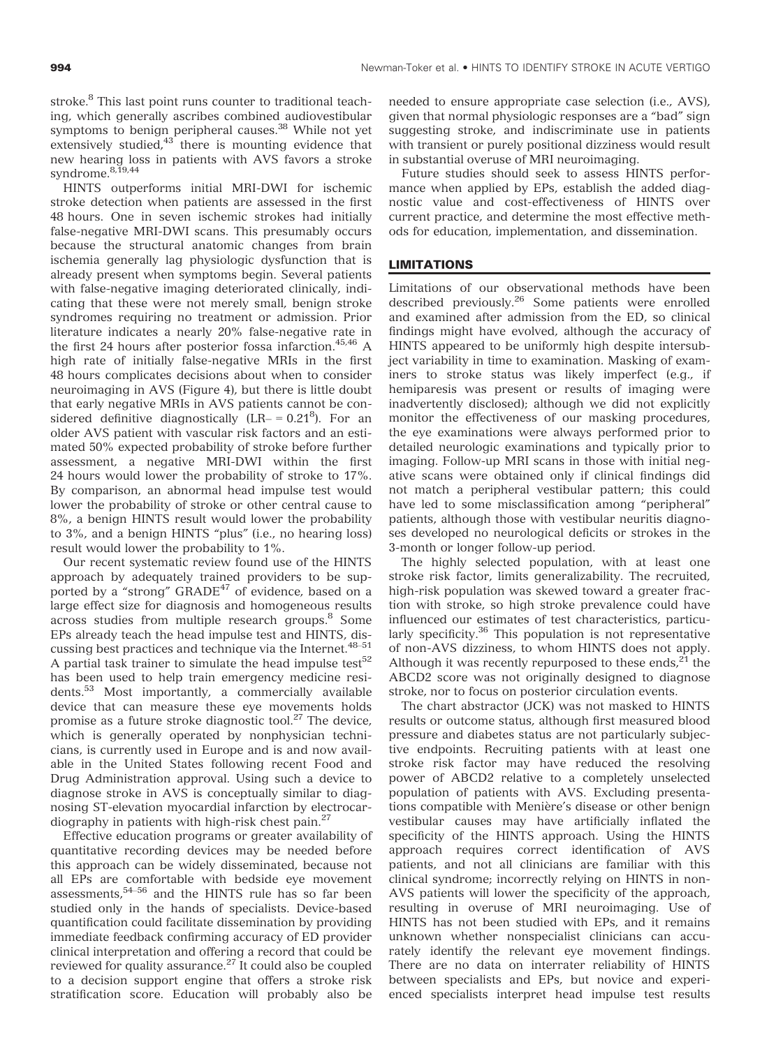stroke.<sup>8</sup> This last point runs counter to traditional teaching, which generally ascribes combined audiovestibular symptoms to benign peripheral causes.<sup>38</sup> While not yet extensively studied, $43$  there is mounting evidence that new hearing loss in patients with AVS favors a stroke syndrome.<sup>8,19,44</sup>

HINTS outperforms initial MRI-DWI for ischemic stroke detection when patients are assessed in the first 48 hours. One in seven ischemic strokes had initially false-negative MRI-DWI scans. This presumably occurs because the structural anatomic changes from brain ischemia generally lag physiologic dysfunction that is already present when symptoms begin. Several patients with false-negative imaging deteriorated clinically, indicating that these were not merely small, benign stroke syndromes requiring no treatment or admission. Prior literature indicates a nearly 20% false-negative rate in the first 24 hours after posterior fossa infarction.<sup>45,46</sup> A high rate of initially false-negative MRIs in the first 48 hours complicates decisions about when to consider neuroimaging in AVS (Figure 4), but there is little doubt that early negative MRIs in AVS patients cannot be considered definitive diagnostically  $(LR - = 0.21<sup>8</sup>)$ . For an older AVS patient with vascular risk factors and an estimated 50% expected probability of stroke before further assessment, a negative MRI-DWI within the first 24 hours would lower the probability of stroke to 17%. By comparison, an abnormal head impulse test would lower the probability of stroke or other central cause to 8%, a benign HINTS result would lower the probability to 3%, and a benign HINTS "plus" (i.e., no hearing loss) result would lower the probability to 1%.

Our recent systematic review found use of the HINTS approach by adequately trained providers to be supported by a "strong" GRADE<sup>47</sup> of evidence, based on a large effect size for diagnosis and homogeneous results across studies from multiple research groups.<sup>8</sup> Some EPs already teach the head impulse test and HINTS, discussing best practices and technique via the Internet.<sup>48-51</sup> A partial task trainer to simulate the head impulse test<sup>52</sup> has been used to help train emergency medicine residents.<sup>53</sup> Most importantly, a commercially available device that can measure these eye movements holds promise as a future stroke diagnostic tool. $^{27}$  The device, which is generally operated by nonphysician technicians, is currently used in Europe and is and now available in the United States following recent Food and Drug Administration approval. Using such a device to diagnose stroke in AVS is conceptually similar to diagnosing ST-elevation myocardial infarction by electrocardiography in patients with high-risk chest pain.<sup>27</sup>

Effective education programs or greater availability of quantitative recording devices may be needed before this approach can be widely disseminated, because not all EPs are comfortable with bedside eye movement assessments,54–<sup>56</sup> and the HINTS rule has so far been studied only in the hands of specialists. Device-based quantification could facilitate dissemination by providing immediate feedback confirming accuracy of ED provider clinical interpretation and offering a record that could be reviewed for quality assurance.<sup>27</sup> It could also be coupled to a decision support engine that offers a stroke risk stratification score. Education will probably also be needed to ensure appropriate case selection (i.e., AVS), given that normal physiologic responses are a "bad" sign suggesting stroke, and indiscriminate use in patients with transient or purely positional dizziness would result in substantial overuse of MRI neuroimaging.

Future studies should seek to assess HINTS performance when applied by EPs, establish the added diagnostic value and cost-effectiveness of HINTS over current practice, and determine the most effective methods for education, implementation, and dissemination.

# <u>Limitation in the contract of the contract of the contract of the contract of the contract of the con</u>

Limitations of our observational methods have been described previously.<sup>26</sup> Some patients were enrolled and examined after admission from the ED, so clinical findings might have evolved, although the accuracy of HINTS appeared to be uniformly high despite intersubject variability in time to examination. Masking of examiners to stroke status was likely imperfect (e.g., if hemiparesis was present or results of imaging were inadvertently disclosed); although we did not explicitly monitor the effectiveness of our masking procedures, the eye examinations were always performed prior to detailed neurologic examinations and typically prior to imaging. Follow-up MRI scans in those with initial negative scans were obtained only if clinical findings did not match a peripheral vestibular pattern; this could have led to some misclassification among "peripheral" patients, although those with vestibular neuritis diagnoses developed no neurological deficits or strokes in the 3-month or longer follow-up period.

The highly selected population, with at least one stroke risk factor, limits generalizability. The recruited, high-risk population was skewed toward a greater fraction with stroke, so high stroke prevalence could have influenced our estimates of test characteristics, particularly specificity.<sup>36</sup> This population is not representative of non-AVS dizziness, to whom HINTS does not apply. Although it was recently repurposed to these ends, $21$  the ABCD2 score was not originally designed to diagnose stroke, nor to focus on posterior circulation events.

The chart abstractor (JCK) was not masked to HINTS results or outcome status, although first measured blood pressure and diabetes status are not particularly subjective endpoints. Recruiting patients with at least one stroke risk factor may have reduced the resolving power of ABCD2 relative to a completely unselected population of patients with AVS. Excluding presentations compatible with Menière's disease or other benign vestibular causes may have artificially inflated the specificity of the HINTS approach. Using the HINTS approach requires correct identification of AVS patients, and not all clinicians are familiar with this clinical syndrome; incorrectly relying on HINTS in non-AVS patients will lower the specificity of the approach, resulting in overuse of MRI neuroimaging. Use of HINTS has not been studied with EPs, and it remains unknown whether nonspecialist clinicians can accurately identify the relevant eye movement findings. There are no data on interrater reliability of HINTS between specialists and EPs, but novice and experienced specialists interpret head impulse test results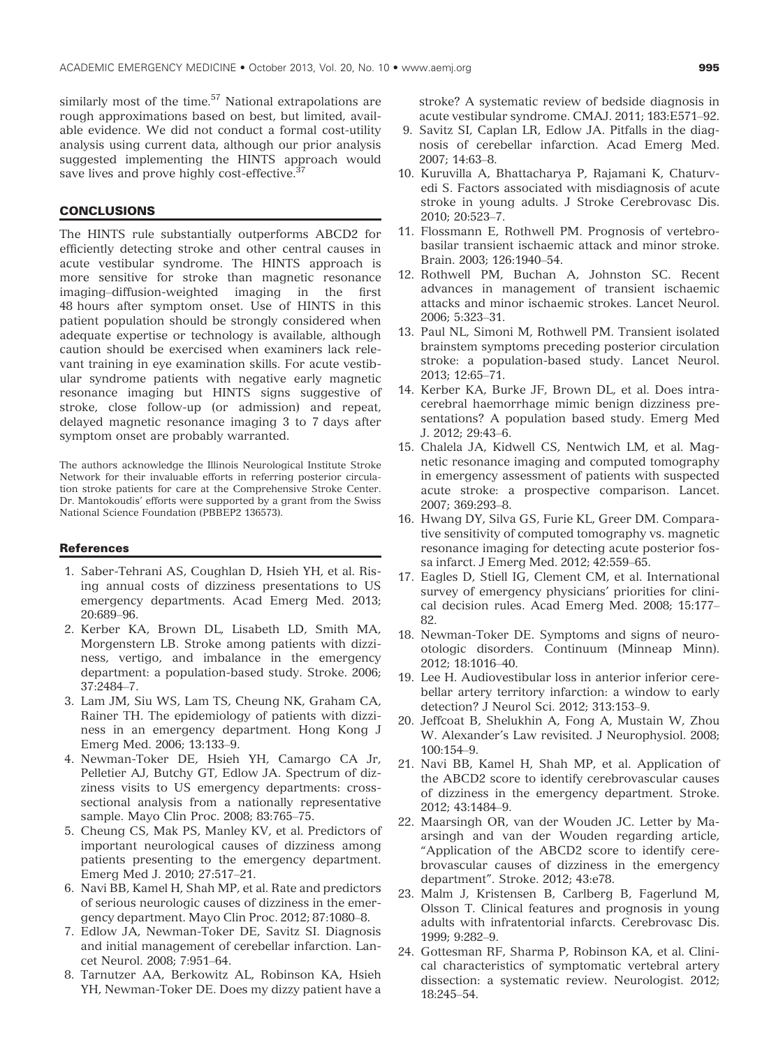similarly most of the time. $57$  National extrapolations are rough approximations based on best, but limited, available evidence. We did not conduct a formal cost-utility analysis using current data, although our prior analysis suggested implementing the HINTS approach would save lives and prove highly cost-effective.<sup>37</sup>

### Concert of the concert of the concert of the concert of the concert of the concert of the concert of the concert

The HINTS rule substantially outperforms ABCD2 for efficiently detecting stroke and other central causes in acute vestibular syndrome. The HINTS approach is more sensitive for stroke than magnetic resonance imaging–diffusion-weighted imaging in the first 48 hours after symptom onset. Use of HINTS in this patient population should be strongly considered when adequate expertise or technology is available, although caution should be exercised when examiners lack relevant training in eye examination skills. For acute vestibular syndrome patients with negative early magnetic resonance imaging but HINTS signs suggestive of stroke, close follow-up (or admission) and repeat, delayed magnetic resonance imaging 3 to 7 days after symptom onset are probably warranted.

The authors acknowledge the Illinois Neurological Institute Stroke Network for their invaluable efforts in referring posterior circulation stroke patients for care at the Comprehensive Stroke Center. Dr. Mantokoudis' efforts were supported by a grant from the Swiss National Science Foundation (PBBEP2 136573).

# References

- 1. Saber-Tehrani AS, Coughlan D, Hsieh YH, et al. Rising annual costs of dizziness presentations to US emergency departments. Acad Emerg Med. 2013; 20:689–96.
- 2. Kerber KA, Brown DL, Lisabeth LD, Smith MA, Morgenstern LB. Stroke among patients with dizziness, vertigo, and imbalance in the emergency department: a population-based study. Stroke. 2006; 37:2484–7.
- 3. Lam JM, Siu WS, Lam TS, Cheung NK, Graham CA, Rainer TH. The epidemiology of patients with dizziness in an emergency department. Hong Kong J Emerg Med. 2006; 13:133–9.
- 4. Newman-Toker DE, Hsieh YH, Camargo CA Jr, Pelletier AJ, Butchy GT, Edlow JA. Spectrum of dizziness visits to US emergency departments: crosssectional analysis from a nationally representative sample. Mayo Clin Proc. 2008; 83:765–75.
- 5. Cheung CS, Mak PS, Manley KV, et al. Predictors of important neurological causes of dizziness among patients presenting to the emergency department. Emerg Med J. 2010; 27:517–21.
- 6. Navi BB, Kamel H, Shah MP, et al. Rate and predictors of serious neurologic causes of dizziness in the emergency department. Mayo Clin Proc. 2012; 87:1080–8.
- 7. Edlow JA, Newman-Toker DE, Savitz SI. Diagnosis and initial management of cerebellar infarction. Lancet Neurol. 2008; 7:951–64.
- 8. Tarnutzer AA, Berkowitz AL, Robinson KA, Hsieh YH, Newman-Toker DE. Does my dizzy patient have a

stroke? A systematic review of bedside diagnosis in acute vestibular syndrome. CMAJ. 2011; 183:E571–92.

- 9. Savitz SI, Caplan LR, Edlow JA. Pitfalls in the diagnosis of cerebellar infarction. Acad Emerg Med. 2007; 14:63–8.
- 10. Kuruvilla A, Bhattacharya P, Rajamani K, Chaturvedi S. Factors associated with misdiagnosis of acute stroke in young adults. J Stroke Cerebrovasc Dis. 2010; 20:523–7.
- 11. Flossmann E, Rothwell PM. Prognosis of vertebrobasilar transient ischaemic attack and minor stroke. Brain. 2003; 126:1940–54.
- 12. Rothwell PM, Buchan A, Johnston SC. Recent advances in management of transient ischaemic attacks and minor ischaemic strokes. Lancet Neurol. 2006; 5:323–31.
- 13. Paul NL, Simoni M, Rothwell PM. Transient isolated brainstem symptoms preceding posterior circulation stroke: a population-based study. Lancet Neurol. 2013; 12:65–71.
- 14. Kerber KA, Burke JF, Brown DL, et al. Does intracerebral haemorrhage mimic benign dizziness presentations? A population based study. Emerg Med J. 2012; 29:43–6.
- 15. Chalela JA, Kidwell CS, Nentwich LM, et al. Magnetic resonance imaging and computed tomography in emergency assessment of patients with suspected acute stroke: a prospective comparison. Lancet. 2007; 369:293–8.
- 16. Hwang DY, Silva GS, Furie KL, Greer DM. Comparative sensitivity of computed tomography vs. magnetic resonance imaging for detecting acute posterior fossa infarct. J Emerg Med. 2012; 42:559–65.
- 17. Eagles D, Stiell IG, Clement CM, et al. International survey of emergency physicians' priorities for clinical decision rules. Acad Emerg Med. 2008; 15:177– 82.
- 18. Newman-Toker DE. Symptoms and signs of neurootologic disorders. Continuum (Minneap Minn). 2012; 18:1016–40.
- 19. Lee H. Audiovestibular loss in anterior inferior cerebellar artery territory infarction: a window to early detection? J Neurol Sci. 2012; 313:153–9.
- 20. Jeffcoat B, Shelukhin A, Fong A, Mustain W, Zhou W. Alexander's Law revisited. J Neurophysiol. 2008; 100:154–9.
- 21. Navi BB, Kamel H, Shah MP, et al. Application of the ABCD2 score to identify cerebrovascular causes of dizziness in the emergency department. Stroke. 2012; 43:1484–9.
- 22. Maarsingh OR, van der Wouden JC. Letter by Maarsingh and van der Wouden regarding article, "Application of the ABCD2 score to identify cerebrovascular causes of dizziness in the emergency department". Stroke. 2012; 43:e78.
- 23. Malm J, Kristensen B, Carlberg B, Fagerlund M, Olsson T. Clinical features and prognosis in young adults with infratentorial infarcts. Cerebrovasc Dis. 1999; 9:282–9.
- 24. Gottesman RF, Sharma P, Robinson KA, et al. Clinical characteristics of symptomatic vertebral artery dissection: a systematic review. Neurologist. 2012; 18:245–54.